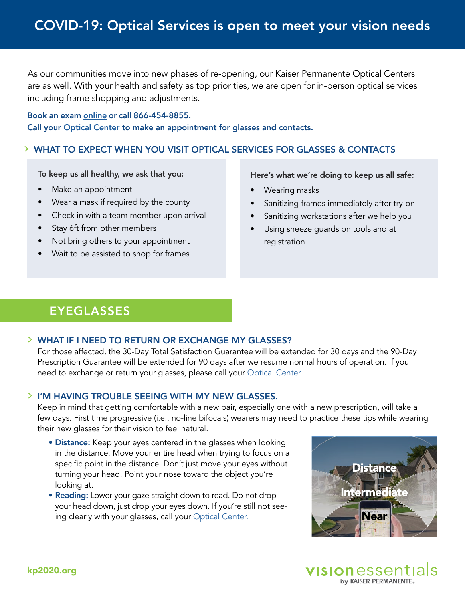As our communities move into new phases of re-opening, our Kaiser Permanente Optical Centers are as well. With your health and safety as top priorities, we are open for in-person optical services including frame shopping and adjustments.

## Book an exam [online](https://mydoctor.kaiserpermanente.org/onlinebooking/#/liteAuthentication?clientShortName=kp2020) or call 866-454-8855.

Call your [Optical Center](https://www.kp2020.org/noca/#location) to make an appointment for glasses and contacts.

## WHAT TO EXPECT WHEN YOU VISIT OPTICAL SERVICES FOR GLASSES & CONTACTS

To keep us all healthy, we ask that you:

- Make an appointment
- Wear a mask if required by the county
- Check in with a team member upon arrival
- Stay 6ft from other members
- Not bring others to your appointment
- Wait to be assisted to shop for frames

Here's what we're doing to keep us all safe:

- Wearing masks
- Sanitizing frames immediately after try-on
- Sanitizing workstations after we help you
- Using sneeze quards on tools and at registration

# EYEGLASSES

### WHAT IF I NEED TO RETURN OR EXCHANGE MY GLASSES?

For those affected, the 30-Day Total Satisfaction Guarantee will be extended for 30 days and the 90-Day Prescription Guarantee will be extended for 90 days after we resume normal hours of operation. If you need to exchange or return your glasses, please call your [Optical Center.](https://www.kp2020.org/noca/#location)

### I'M HAVING TROUBLE SEEING WITH MY NEW GLASSES.

Keep in mind that getting comfortable with a new pair, especially one with a new prescription, will take a few days. First time progressive (i.e., no-line bifocals) wearers may need to practice these tips while wearing their new glasses for their vision to feel natural.

- Distance: Keep your eyes centered in the glasses when looking in the distance. Move your entire head when trying to focus on a specific point in the distance. Don't just move your eyes without turning your head. Point your nose toward the object you're looking at.
- Reading: Lower your gaze straight down to read. Do not drop your head down, just drop your eyes down. If you're still not see-ing clearly with your glasses, call your [Optical Center.](https://www.kp2020.org/noca/#location)